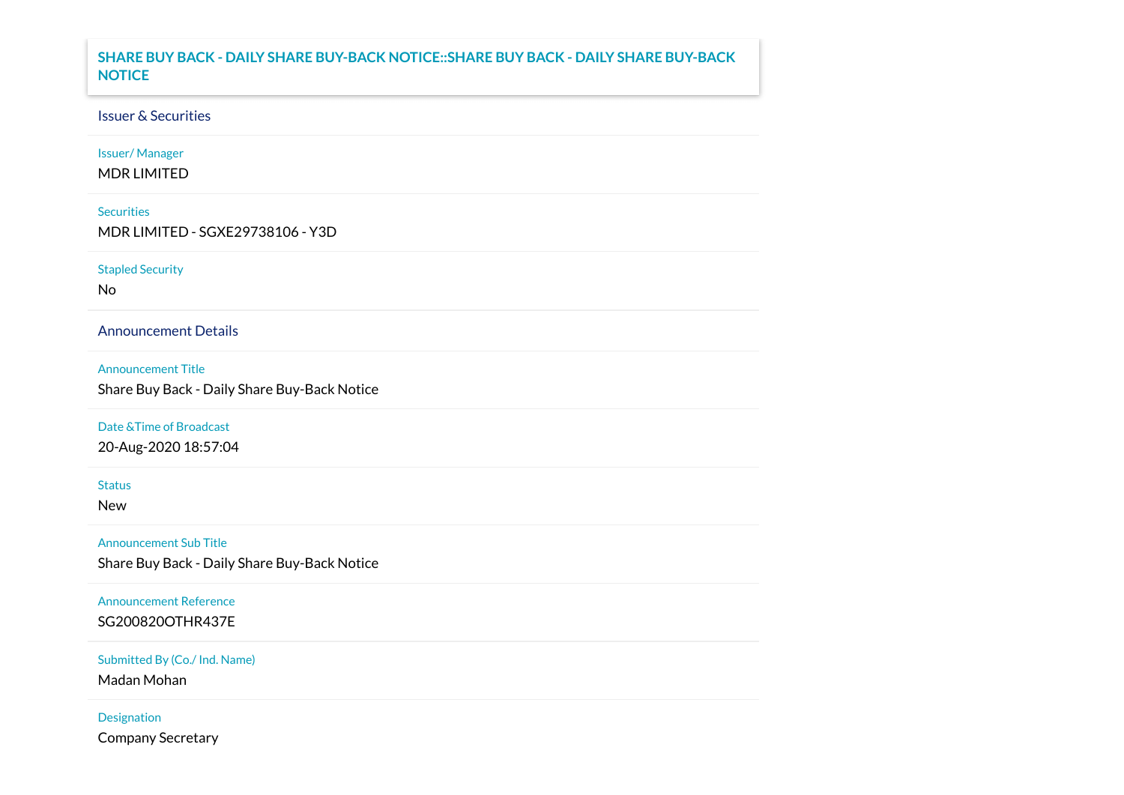# **SHARE BUY BACK - DAILY SHARE BUY-BACK NOTICE::SHARE BUY BACK - DAILY SHARE BUY-BACK NOTICE**

# Issuer & Securities

Issuer/ Manager

MDR LIMITED

## **Securities**

MDR LIMITED - SGXE29738106 - Y3D

### Stapled Security

No

Announcement Details

#### Announcement Title

Share Buy Back - Daily Share Buy-Back Notice

### Date &Time of Broadcast

20-Aug-2020 18:57:04

#### **Status**

New

# Announcement Sub Title

Share Buy Back - Daily Share Buy-Back Notice

# Announcement Reference

SG200820OTHR437E

### Submitted By (Co./ Ind. Name)

Madan Mohan

## Designation

Company Secretary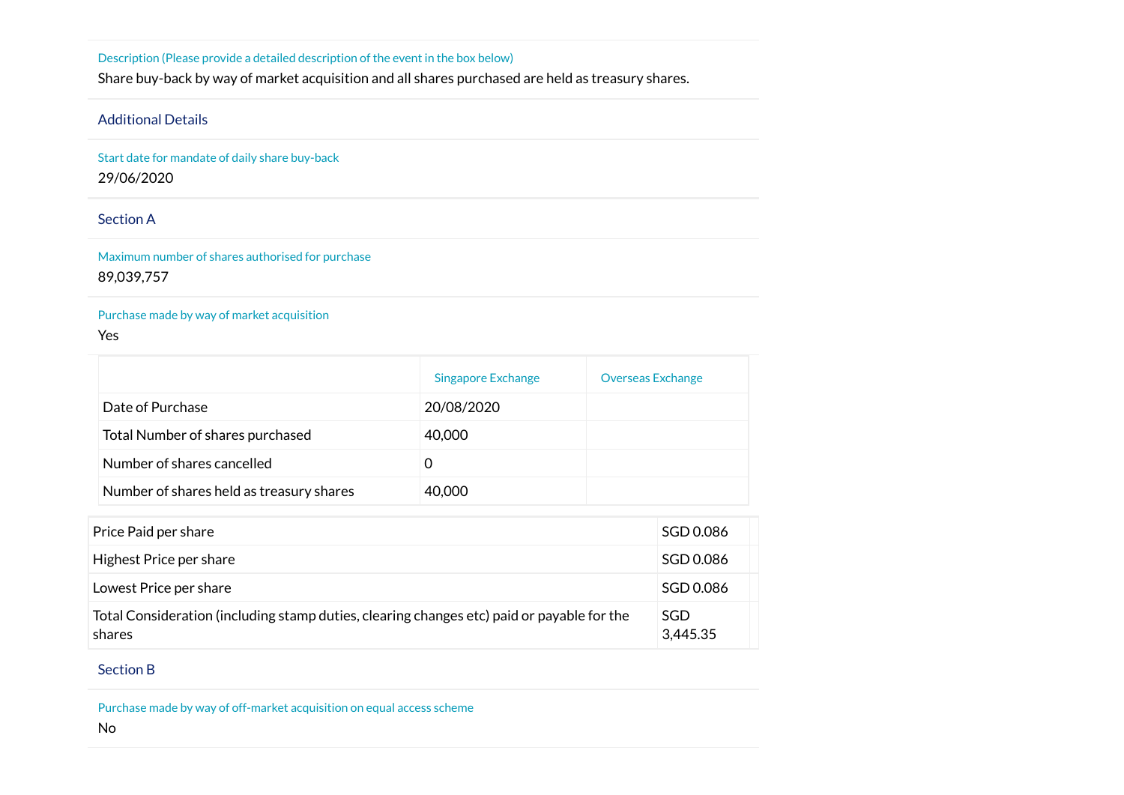Description (Please provide a detailed description of the event in the box below)

Share buy-back by way of market acquisition and all shares purchased are held as treasury shares.

# Additional Details

Start date for mandate of daily share buy-back 29/06/2020

# Section A

Maximum number of shares authorised for purchase 89,039,757

## Purchase made by way of market acquisition

### Yes

|                                          | Singapore Exchange | <b>Overseas Exchange</b> |
|------------------------------------------|--------------------|--------------------------|
| Date of Purchase                         | 20/08/2020         |                          |
| Total Number of shares purchased         | 40,000             |                          |
| Number of shares cancelled               |                    |                          |
| Number of shares held as treasury shares | 40,000             |                          |

| Price Paid per share                                                                                 | SGD 0.086              |
|------------------------------------------------------------------------------------------------------|------------------------|
| Highest Price per share                                                                              | SGD 0.086              |
| Lowest Price per share                                                                               | SGD 0.086              |
| Total Consideration (including stamp duties, clearing changes etc) paid or payable for the<br>shares | <b>SGD</b><br>3,445.35 |

## Section B

Purchase made by way of off-market acquisition on equal access scheme

#### No